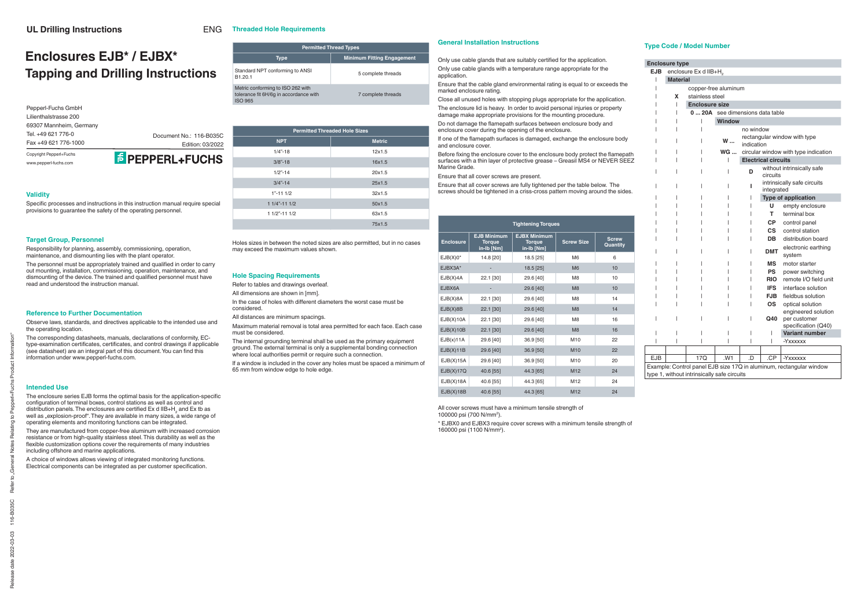#### **Validity**

Specific processes and instructions in this instruction manual require special provisions to guarantee the safety of the operating personnel.

#### **Target Group, Personnel**

The personnel must be appropriately trained and qualified in order to carry out mounting, installation, commissioning, operation, maintenance, and dismounting of the device. The trained and qualified personnel must have read and understood the instruction manual.

Responsibility for planning, assembly, commissioning, operation, maintenance, and dismounting lies with the plant operator.

#### **Reference to Further Documentation**

The enclosure series EJB forms the optimal basis for the application-specific configuration of terminal boxes, control stations as well as control and distribution panels. The enclosures are certified Ex d IIB+H<sub>2</sub> and Ex tb as well as "explosion-proof". They are available in many sizes, a wide range of operating elements and monitoring functions can be integrated.

They are manufactured from copper-free aluminum with increased corrosion resistance or from high-quality stainless steel. This durability as well as the flexible customization options cover the requirements of many industries including offshore and marine applications.

Observe laws, standards, and directives applicable to the intended use and the operating location.

A choice of windows allows viewing of integrated monitoring functions. Electrical components can be integrated as per customer specification.

The corresponding datasheets, manuals, declarations of conformity, ECtype-examination certificates, certificates, and control drawings if applicable (see datasheet) are an integral part of this document. You can find this information under www.pepperl-fuchs.com.

#### **Intended Use**

In the case of holes with different diameters the worst case must be considered.

## **En EJB**

| <b>Permitted Thread Types</b>                                                                 |                                   |  |  |  |  |  |  |  |  |  |  |
|-----------------------------------------------------------------------------------------------|-----------------------------------|--|--|--|--|--|--|--|--|--|--|
| <b>Type</b>                                                                                   | <b>Minimum Fitting Engagement</b> |  |  |  |  |  |  |  |  |  |  |
| Standard NPT conforming to ANSI<br>B1.20.1                                                    | 5 complete threads                |  |  |  |  |  |  |  |  |  |  |
| Metric conforming to ISO 262 with<br>tolerance fit 6H/6q in accordance with<br><b>ISO 965</b> | 7 complete threads                |  |  |  |  |  |  |  |  |  |  |

Only use cable glands that are suitably certified for the application. Only use cable glands with a temperature range appropriate for the application.

| <b>Permitted Threaded Hole Sizes</b> |               |  |  |  |  |  |  |  |  |  |  |
|--------------------------------------|---------------|--|--|--|--|--|--|--|--|--|--|
| <b>NPT</b>                           | <b>Metric</b> |  |  |  |  |  |  |  |  |  |  |
| $1/4 - 18$                           | 12x1.5        |  |  |  |  |  |  |  |  |  |  |
| $3/8$ "-18                           | 16x1.5        |  |  |  |  |  |  |  |  |  |  |
| $1/2$ "-14                           | 20x1.5        |  |  |  |  |  |  |  |  |  |  |
| $3/4" - 14$                          | 25x1.5        |  |  |  |  |  |  |  |  |  |  |
| $1" - 111/2$                         | 32x1.5        |  |  |  |  |  |  |  |  |  |  |
| $11/4" - 111/2$                      | 50x1.5        |  |  |  |  |  |  |  |  |  |  |
| $11/2" - 111/2$                      | 63x1.5        |  |  |  |  |  |  |  |  |  |  |
|                                      | 75x1.5        |  |  |  |  |  |  |  |  |  |  |

Holes sizes in between the noted sizes are also permitted, but in no cases may exceed the maximum values shown.

Do not damage the flamepath surfaces between enclosure body and enclosure cover during the opening of the enclosure.

#### **Hole Spacing Requirements**

If one of the flamepath surfaces is damaged, exchange the enclosure body and enclosure cover.

Refer to tables and drawings overleaf.

All dimensions are shown in [mm].

Before fixing the enclosure cover to the enclosure body protect the flamepath surfaces with a thin layer of protective grease – Greasil MS4 or NEVER SEEZ Marine Grade.

All distances are minimum spacings.

Maximum material removal is total area permitted for each face. Each case must be considered.

The internal grounding terminal shall be used as the primary equipment ground. The external terminal is only a supplemental bonding connection where local authorities permit or require such a connection.

If a window is included in the cover any holes must be spaced a minimum of 65 mm from window edge to hole edge.

#### **Type Code / Model Number**

## Edition: 03/2022 **F** PEPPERL+FUCHS

|

|            | <b>Enclosure type</b>                                                                                              |                                   |                                                 |                                 |            |                                                            |  |  |  |  |  |  |  |  |
|------------|--------------------------------------------------------------------------------------------------------------------|-----------------------------------|-------------------------------------------------|---------------------------------|------------|------------------------------------------------------------|--|--|--|--|--|--|--|--|
| <b>EJB</b> | enclosure Ex d IIB+H <sub>2</sub>                                                                                  |                                   |                                                 |                                 |            |                                                            |  |  |  |  |  |  |  |  |
| I          | <b>Material</b>                                                                                                    |                                   |                                                 |                                 |            |                                                            |  |  |  |  |  |  |  |  |
|            |                                                                                                                    | copper-free aluminum              |                                                 |                                 |            |                                                            |  |  |  |  |  |  |  |  |
|            | x                                                                                                                  | stainless steel                   |                                                 |                                 |            |                                                            |  |  |  |  |  |  |  |  |
|            | ı                                                                                                                  | <b>Enclosure size</b>             |                                                 |                                 |            |                                                            |  |  |  |  |  |  |  |  |
|            |                                                                                                                    | see dimensions data table<br>020A |                                                 |                                 |            |                                                            |  |  |  |  |  |  |  |  |
|            |                                                                                                                    |                                   | <b>Window</b>                                   |                                 |            |                                                            |  |  |  |  |  |  |  |  |
|            |                                                                                                                    |                                   | no window                                       |                                 |            |                                                            |  |  |  |  |  |  |  |  |
|            |                                                                                                                    |                                   | rectangular window with type<br>W<br>indication |                                 |            |                                                            |  |  |  |  |  |  |  |  |
|            |                                                                                                                    |                                   | <b>WG </b>                                      |                                 |            | circular window with type indication                       |  |  |  |  |  |  |  |  |
|            |                                                                                                                    | <b>Electrical circuits</b>        |                                                 |                                 |            |                                                            |  |  |  |  |  |  |  |  |
|            |                                                                                                                    |                                   | without intrinsically safe<br>D<br>circuits     |                                 |            |                                                            |  |  |  |  |  |  |  |  |
|            |                                                                                                                    |                                   | intrinsically safe circuits<br>integrated       |                                 |            |                                                            |  |  |  |  |  |  |  |  |
|            |                                                                                                                    |                                   | <b>Type of application</b>                      |                                 |            |                                                            |  |  |  |  |  |  |  |  |
|            |                                                                                                                    |                                   |                                                 |                                 | U          | empty enclosure                                            |  |  |  |  |  |  |  |  |
|            |                                                                                                                    |                                   |                                                 |                                 | т          | terminal box                                               |  |  |  |  |  |  |  |  |
|            |                                                                                                                    |                                   |                                                 |                                 | <b>CP</b>  | control panel                                              |  |  |  |  |  |  |  |  |
|            |                                                                                                                    |                                   |                                                 |                                 | <b>CS</b>  | control station                                            |  |  |  |  |  |  |  |  |
|            |                                                                                                                    |                                   |                                                 | <b>DB</b><br>distribution board |            |                                                            |  |  |  |  |  |  |  |  |
|            |                                                                                                                    |                                   |                                                 |                                 | <b>DMT</b> | electronic earthing<br>system                              |  |  |  |  |  |  |  |  |
|            |                                                                                                                    |                                   |                                                 |                                 | MS         | motor starter                                              |  |  |  |  |  |  |  |  |
|            |                                                                                                                    |                                   |                                                 |                                 | <b>PS</b>  | power switching                                            |  |  |  |  |  |  |  |  |
|            |                                                                                                                    |                                   |                                                 |                                 | <b>RIO</b> | remote I/O field unit                                      |  |  |  |  |  |  |  |  |
|            |                                                                                                                    |                                   |                                                 |                                 | <b>IFS</b> | interface solution                                         |  |  |  |  |  |  |  |  |
|            |                                                                                                                    |                                   |                                                 |                                 | <b>FJB</b> | fieldbus solution                                          |  |  |  |  |  |  |  |  |
|            |                                                                                                                    |                                   |                                                 |                                 | <b>OS</b>  | optical solution                                           |  |  |  |  |  |  |  |  |
|            |                                                                                                                    |                                   |                                                 |                                 | Q40        | engineered solution<br>per customer<br>specification (Q40) |  |  |  |  |  |  |  |  |
|            |                                                                                                                    |                                   |                                                 |                                 | I          | <b>Variant number</b>                                      |  |  |  |  |  |  |  |  |
|            |                                                                                                                    |                                   |                                                 |                                 | ı          | -Yxxxxxx                                                   |  |  |  |  |  |  |  |  |
|            |                                                                                                                    |                                   |                                                 |                                 |            |                                                            |  |  |  |  |  |  |  |  |
| <b>EJB</b> |                                                                                                                    | 17Q                               | .W1                                             | .D                              | .CP        | -Yxxxxxx                                                   |  |  |  |  |  |  |  |  |
|            |                                                                                                                    |                                   |                                                 |                                 |            |                                                            |  |  |  |  |  |  |  |  |
|            | Example: Control panel EJB size 17Q in aluminum, rectangular window<br>type 1, without intrinsically safe circuits |                                   |                                                 |                                 |            |                                                            |  |  |  |  |  |  |  |  |

#### **Threaded Hole Requirements** ENG

 $\frac{1}{15}$ 

# **Enclosures EJB\* / EJBX\* Tapping and Drilling Instructions**

#### **General Installation Instructions**

Ensure that the cable gland environmental rating is equal to or exceeds the marked enclosure rating.

Close all unused holes with stopping plugs appropriate for the application. The enclosure lid is heavy. In order to avoid personal injuries or property damage make appropriate provisions for the mounting procedure.

Ensure that all cover screws are present.

Ensure that all cover screws are fully tightened per the table below. The screws should be tightened in a criss-cross pattern moving around the sides.

| <b>Tightening Torques</b> |                                                   |                                                    |                   |                          |  |  |  |  |  |  |  |  |
|---------------------------|---------------------------------------------------|----------------------------------------------------|-------------------|--------------------------|--|--|--|--|--|--|--|--|
| <b>Enclosure</b>          | <b>EJB Minimum</b><br><b>Torque</b><br>in-Ib [Nm] | <b>EJBX Minimum</b><br><b>Torque</b><br>in-Ib [Nm] | <b>Screw Size</b> | <b>Screw</b><br>Quantity |  |  |  |  |  |  |  |  |
| $EJB(X)0^*$               | 14.8 [20]                                         | 18.5 [25]                                          | M <sub>6</sub>    | 6                        |  |  |  |  |  |  |  |  |
| EJBX3A*                   |                                                   | 18.5 [25]                                          | M6                | 10                       |  |  |  |  |  |  |  |  |
| EJB(X)4A                  | 22.1 [30]                                         | 29.6 [40]                                          | M <sub>8</sub>    | 10                       |  |  |  |  |  |  |  |  |
| EJBX6A                    |                                                   | 29.6 [40]                                          | M8                | 10                       |  |  |  |  |  |  |  |  |
| EJB(X)8A                  | 22.1 [30]                                         | 29.6 [40]                                          | M <sub>8</sub>    | 14                       |  |  |  |  |  |  |  |  |
| EJB(X)8B                  | 22.1 [30]                                         | 29.6 [40]                                          | M8                | 14                       |  |  |  |  |  |  |  |  |
| EJB(X)10A                 | 22.1 [30]                                         | 29.6 [40]                                          | M <sub>8</sub>    | 16                       |  |  |  |  |  |  |  |  |
| EJB(X)10B                 | 22.1 [30]                                         | 29.6 [40]                                          | M8                | 16                       |  |  |  |  |  |  |  |  |
| EJB(x)11A                 | 29.6 [40]                                         | 36.9 [50]                                          | M <sub>10</sub>   | 22                       |  |  |  |  |  |  |  |  |
| EJB(X)11B                 | 29.6 [40]                                         | 36.9 [50]                                          | M10               | 22                       |  |  |  |  |  |  |  |  |
| EJB(X)15A                 | 29.6 [40]                                         | 36.9 [50]                                          | M <sub>10</sub>   | 20                       |  |  |  |  |  |  |  |  |
| EJB(X)17Q                 | 40.6 [55]                                         | 44.3 [65]                                          | M <sub>12</sub>   | 24                       |  |  |  |  |  |  |  |  |
| EJB(X)18A                 | 40.6 [55]                                         | 44.3 [65]                                          | M12               | 24                       |  |  |  |  |  |  |  |  |
| EJB(X)18B                 | 40.6 [55]                                         | 44.3 [65]                                          | M <sub>12</sub>   | 24                       |  |  |  |  |  |  |  |  |

All cover screws must have a minimum tensile strength of 100000 psi (700 N/mm2).

\* EJBX0 and EJBX3 require cover screws with a minimum tensile strength of 160000 psi (1100 N/mm2).

| Copyright Pepperl+Fuchs |  |
|-------------------------|--|
| Fax +49 621 776-1000    |  |
| Tel. +49 621 776-0      |  |
| 69307 Mannheim, Germany |  |
| Lilienthalstrasse 200   |  |
| Pepperl-Fuchs GmbH      |  |
|                         |  |

Document No.: 116-B035C

www.pepperl-fuchs.com